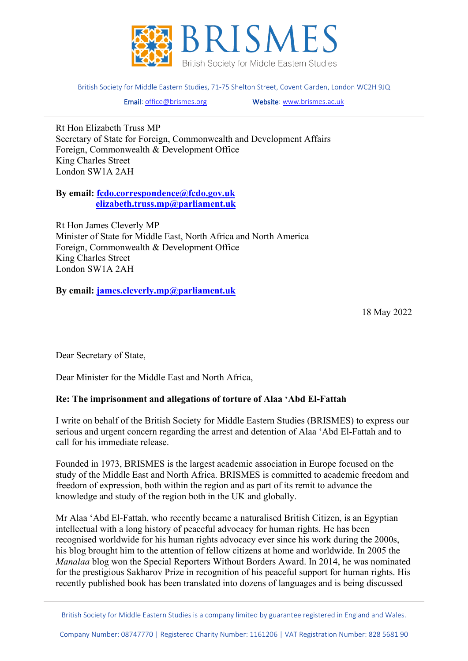

British Society for Middle Eastern Studies, 71-75 Shelton Street, Covent Garden, London WC2H 9JQ

Email[: office@brismes.org](mailto:office@brismes.org) Website[: www.brismes.ac.uk](http://www.brismes.ac.uk/) 

Rt Hon Elizabeth Truss MP Secretary of State for Foreign, Commonwealth and Development Affairs Foreign, Commonwealth & Development Office King Charles Street London SW1A 2AH

**By email: [fcdo.correspondence@fcdo.gov.uk](mailto:fcdo.correspondence@fcdo.gov.uk) [elizabeth.truss.mp@parliament.uk](mailto:elizabeth.truss.mp@parliament.uk)**

Rt Hon James Cleverly MP Minister of State for Middle East, North Africa and North America Foreign, Commonwealth & Development Office King Charles Street London SW1A 2AH

**By email: [james.cleverly.mp@parliament.uk](mailto:james.cleverly.mp@parliament.uk)**

18 May 2022

Dear Secretary of State,

Dear Minister for the Middle East and North Africa,

## **Re: The imprisonment and allegations of torture of Alaa 'Abd El-Fattah**

I write on behalf of the British Society for Middle Eastern Studies (BRISMES) to express our serious and urgent concern regarding the arrest and detention of Alaa 'Abd El-Fattah and to call for his immediate release.

Founded in 1973, BRISMES is the largest academic association in Europe focused on the study of the Middle East and North Africa. BRISMES is committed to academic freedom and freedom of expression, both within the region and as part of its remit to advance the knowledge and study of the region both in the UK and globally.

Mr Alaa 'Abd El-Fattah, who recently became a naturalised British Citizen, is an Egyptian intellectual with a long history of peaceful advocacy for human rights. He has been recognised worldwide for his human rights advocacy ever since his work during the 2000s, his blog brought him to the attention of fellow citizens at home and worldwide. In 2005 the *Manalaa* blog won the Special Reporters Without Borders Award. In 2014, he was nominated for the prestigious Sakharov Prize in recognition of his peaceful support for human rights. His recently published book has been translated into dozens of languages and is being discussed

British Society for Middle Eastern Studies is a company limited by guarantee registered in England and Wales.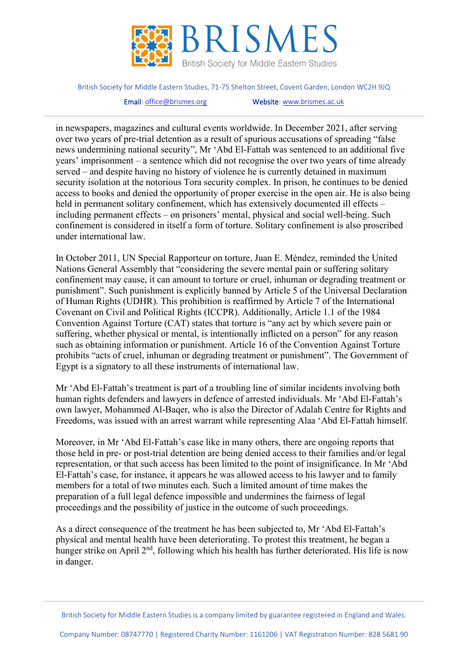

British Society for Middle Eastern Studies, 71-75 Shelton Street, Covent Garden, London WC2H 9JQ

Email[: office@brismes.org](mailto:office@brismes.org) Website[: www.brismes.ac.uk](http://www.brismes.ac.uk/) 

in newspapers, magazines and cultural events worldwide. In December 2021, after serving over two years of pre-trial detention as a result of spurious accusations of spreading "false news undermining national security", Mr 'Abd El-Fattah was sentenced to an additional five years' imprisonment – a sentence which did not recognise the over two years of time already served – and despite having no history of violence he is currently detained in maximum security isolation at the notorious Tora security complex. In prison, he continues to be denied access to books and denied the opportunity of proper exercise in the open air. He is also being held in permanent solitary confinement, which has extensively documented ill effects – including permanent effects – on prisoners' mental, physical and social well-being. Such confinement is considered in itself a form of torture. Solitary confinement is also proscribed under international law.

In October 2011, UN Special Rapporteur on torture, Juan E. Méndez, reminded the United Nations General Assembly that "considering the severe mental pain or suffering solitary confinement may cause, it can amount to torture or cruel, inhuman or degrading treatment or punishment". Such punishment is explicitly banned by Article 5 of the Universal Declaration of Human Rights (UDHR). This prohibition is reaffirmed by Article 7 of the International Covenant on Civil and Political Rights (ICCPR). Additionally, Article 1.1 of the 1984 Convention Against Torture (CAT) states that torture is "any act by which severe pain or suffering, whether physical or mental, is intentionally inflicted on a person" for any reason such as obtaining information or punishment. Article 16 of the Convention Against Torture prohibits "acts of cruel, inhuman or degrading treatment or punishment". The Government of Egypt is a signatory to all these instruments of international law.

Mr 'Abd El-Fattah's treatment is part of a troubling line of similar incidents involving both human rights defenders and lawyers in defence of arrested individuals. Mr 'Abd El-Fattah's own lawyer, Mohammed Al-Baqer, who is also the Director of Adalah Centre for Rights and Freedoms, was issued with an arrest warrant while representing Alaa 'Abd El-Fattah himself.

Moreover, in Mr 'Abd El-Fattah's case like in many others, there are ongoing reports that those held in pre- or post-trial detention are being denied access to their families and/or legal representation, or that such access has been limited to the point of insignificance. In Mr 'Abd El-Fattah's case, for instance, it appears he was allowed access to his lawyer and to family members for a total of two minutes each. Such a limited amount of time makes the preparation of a full legal defence impossible and undermines the fairness of legal proceedings and the possibility of justice in the outcome of such proceedings.

As a direct consequence of the treatment he has been subjected to, Mr 'Abd El-Fattah's physical and mental health have been deteriorating. To protest this treatment, he began a hunger strike on April 2<sup>nd</sup>, following which his health has further deteriorated. His life is now in danger.

British Society for Middle Eastern Studies is a company limited by guarantee registered in England and Wales.